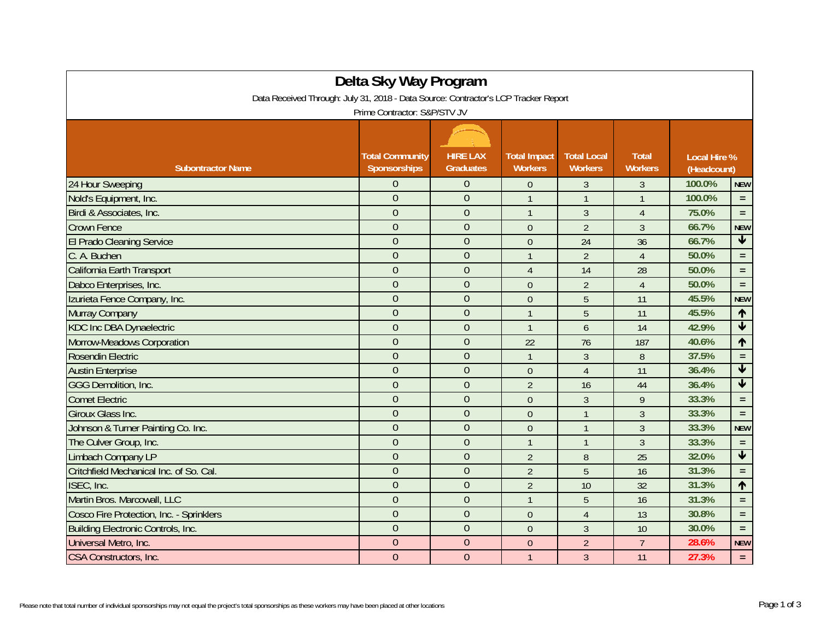| Delta Sky Way Program<br>Data Received Through: July 31, 2018 - Data Source: Contractor's LCP Tracker Report<br>Prime Contractor: S&P/STV JV |                                        |                                     |                                       |                                      |                                |                                    |                 |  |
|----------------------------------------------------------------------------------------------------------------------------------------------|----------------------------------------|-------------------------------------|---------------------------------------|--------------------------------------|--------------------------------|------------------------------------|-----------------|--|
| <b>Subontractor Name</b>                                                                                                                     | <b>Total Community</b><br>Sponsorships | <b>HIRE LAX</b><br><b>Graduates</b> | <b>Total Impact</b><br><b>Workers</b> | <b>Total Local</b><br><b>Workers</b> | <b>Total</b><br><b>Workers</b> | <b>Local Hire %</b><br>(Headcount) |                 |  |
| 24 Hour Sweeping                                                                                                                             | $\Omega$                               | $\Omega$                            | $\theta$                              | $\mathfrak{Z}$                       | 3                              | 100.0%                             | <b>NEW</b>      |  |
| Nold's Equipment, Inc.                                                                                                                       | $\overline{0}$                         | $\mathbf{0}$                        | $\overline{1}$                        | $\mathbf{1}$                         | $\mathbf{1}$                   | 100.0%                             | $\equiv$        |  |
| Birdi & Associates, Inc.                                                                                                                     | $\overline{0}$                         | $\overline{0}$                      | $\mathbf{1}$                          | 3                                    | $\overline{4}$                 | 75.0%                              | $\equiv$        |  |
| <b>Crown Fence</b>                                                                                                                           | $\overline{0}$                         | $\overline{0}$                      | $\theta$                              | $\overline{2}$                       | $\overline{3}$                 | 66.7%                              | <b>NEW</b>      |  |
| El Prado Cleaning Service                                                                                                                    | $\overline{0}$                         | $\mathbf{0}$                        | $\theta$                              | 24                                   | 36                             | 66.7%                              | $\blacklozenge$ |  |
| C. A. Buchen                                                                                                                                 | $\mathbf{0}$                           | $\overline{0}$                      | $\mathbf{1}$                          | $\overline{2}$                       | $\overline{4}$                 | 50.0%                              | $\equiv$        |  |
| California Earth Transport                                                                                                                   | $\overline{0}$                         | $\overline{0}$                      | $\overline{4}$                        | 14                                   | 28                             | 50.0%                              | $\equiv$        |  |
| Dabco Enterprises, Inc.                                                                                                                      | $\overline{0}$                         | $\mathbf{0}$                        | $\mathbf{0}$                          | $\overline{2}$                       | $\overline{4}$                 | 50.0%                              | $\equiv$        |  |
| Izurieta Fence Company, Inc.                                                                                                                 | $\overline{0}$                         | $\overline{0}$                      | $\theta$                              | 5                                    | 11                             | 45.5%                              | <b>NEW</b>      |  |
| Murray Company                                                                                                                               | $\overline{0}$                         | $\overline{0}$                      | $\overline{1}$                        | 5                                    | 11                             | 45.5%                              | $\uparrow$      |  |
| <b>KDC Inc DBA Dynaelectric</b>                                                                                                              | $\overline{0}$                         | $\overline{0}$                      | $\mathbf{1}$                          | 6                                    | 14                             | 42.9%                              | $\blacklozenge$ |  |
| Morrow-Meadows Corporation                                                                                                                   | $\overline{0}$                         | $\overline{0}$                      | 22                                    | 76                                   | 187                            | 40.6%                              | $\blacklozenge$ |  |
| Rosendin Electric                                                                                                                            | $\overline{0}$                         | $\overline{0}$                      | $\overline{1}$                        | $\mathfrak{Z}$                       | 8                              | 37.5%                              | $\equiv$        |  |
| <b>Austin Enterprise</b>                                                                                                                     | $\overline{0}$                         | $\overline{0}$                      | $\overline{0}$                        | $\overline{4}$                       | 11                             | 36.4%                              | $\blacklozenge$ |  |
| <b>GGG Demolition, Inc.</b>                                                                                                                  | $\overline{0}$                         | $\overline{0}$                      | $\overline{2}$                        | 16                                   | 44                             | 36.4%                              | $\blacklozenge$ |  |
| <b>Comet Electric</b>                                                                                                                        | $\overline{0}$                         | $\mathbf{0}$                        | $\theta$                              | 3                                    | 9                              | 33.3%                              | $\equiv$        |  |
| <b>Giroux Glass Inc.</b>                                                                                                                     | $\overline{0}$                         | $\overline{0}$                      | $\mathbf{0}$                          | $\mathbf{1}$                         | $\overline{3}$                 | 33.3%                              | $\equiv$        |  |
| Johnson & Turner Painting Co. Inc.                                                                                                           | $\overline{0}$                         | $\overline{0}$                      | $\mathbf{0}$                          | $\overline{1}$                       | $\sqrt{3}$                     | 33.3%                              | <b>NEW</b>      |  |
| The Culver Group, Inc.                                                                                                                       | $\mathbf{0}$                           | $\overline{0}$                      | $\overline{1}$                        | $\mathbf{1}$                         | $\overline{3}$                 | 33.3%                              | $\equiv$        |  |
| <b>Limbach Company LP</b>                                                                                                                    | $\mathbf{0}$                           | $\overline{0}$                      | $\overline{2}$                        | $8\,$                                | 25                             | 32.0%                              | $\blacklozenge$ |  |
| Critchfield Mechanical Inc. of So. Cal.                                                                                                      | $\overline{0}$                         | $\overline{0}$                      | $\overline{2}$                        | 5                                    | 16                             | 31.3%                              | $\equiv$        |  |
| ISEC, Inc.                                                                                                                                   | $\overline{0}$                         | $\overline{0}$                      | $\overline{2}$                        | 10                                   | 32                             | 31.3%                              | $\uparrow$      |  |
| Martin Bros. Marcowall, LLC                                                                                                                  | $\overline{0}$                         | $\overline{0}$                      | $\overline{1}$                        | 5                                    | 16                             | 31.3%                              | $\equiv$        |  |
| Cosco Fire Protection, Inc. - Sprinklers                                                                                                     | $\overline{0}$                         | $\overline{0}$                      | $\boldsymbol{0}$                      | $\overline{4}$                       | 13                             | 30.8%                              | $\equiv$        |  |
| <b>Building Electronic Controls, Inc.</b>                                                                                                    | $\overline{0}$                         | $\mathbf{0}$                        | $\mathbf{0}$                          | 3                                    | 10                             | 30.0%                              | $\equiv$        |  |
| Universal Metro, Inc.                                                                                                                        | $\overline{0}$                         | $\overline{0}$                      | $\theta$                              | $\overline{2}$                       | $\overline{7}$                 | 28.6%                              | <b>NEW</b>      |  |
| CSA Constructors, Inc.                                                                                                                       | $\overline{0}$                         | $\theta$                            | $\mathbf{1}$                          | $\overline{3}$                       | 11                             | 27.3%                              | $\equiv$        |  |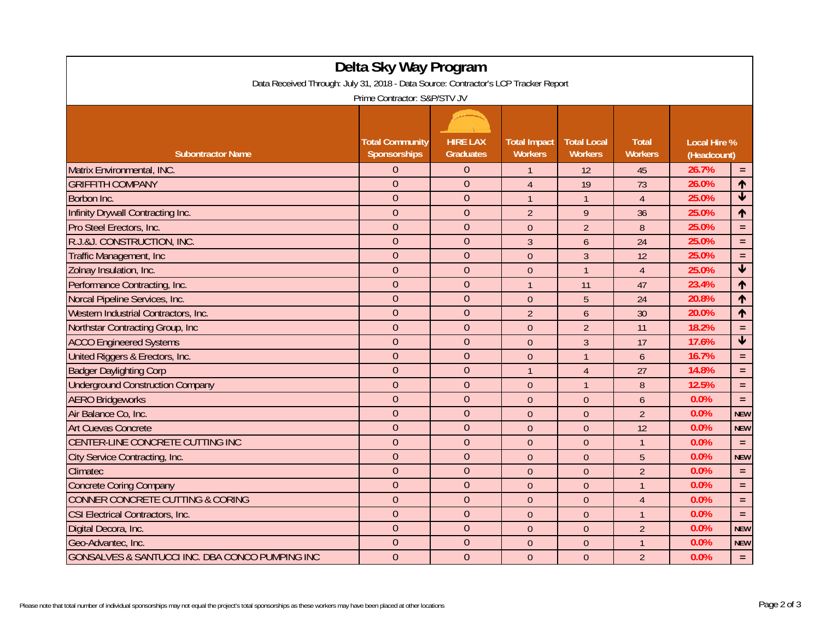| Delta Sky Way Program                                                               |                                               |                                     |                                       |                                      |                                |                                    |                         |  |
|-------------------------------------------------------------------------------------|-----------------------------------------------|-------------------------------------|---------------------------------------|--------------------------------------|--------------------------------|------------------------------------|-------------------------|--|
| Data Received Through: July 31, 2018 - Data Source: Contractor's LCP Tracker Report |                                               |                                     |                                       |                                      |                                |                                    |                         |  |
| Prime Contractor: S&P/STV JV                                                        |                                               |                                     |                                       |                                      |                                |                                    |                         |  |
|                                                                                     |                                               |                                     |                                       |                                      |                                |                                    |                         |  |
| <b>Subontractor Name</b>                                                            | <b>Total Community</b><br><b>Sponsorships</b> | <b>HIRE LAX</b><br><b>Graduates</b> | <b>Total Impact</b><br><b>Workers</b> | <b>Total Local</b><br><b>Workers</b> | <b>Total</b><br><b>Workers</b> | <b>Local Hire %</b><br>(Headcount) |                         |  |
| Matrix Environmental, INC.                                                          | $\Omega$                                      | $\theta$                            |                                       | 12                                   | 45                             | 26.7%                              | $=$                     |  |
| <b>GRIFFITH COMPANY</b>                                                             | $\Omega$                                      | $\overline{0}$                      | $\overline{4}$                        | 19                                   | 73                             | 26.0%                              | $\uparrow$              |  |
| Borbon Inc.                                                                         | $\overline{0}$                                | $\overline{0}$                      | $\overline{1}$                        | $\overline{1}$                       | $\overline{4}$                 | 25.0%                              | $\blacklozenge$         |  |
| Infinity Drywall Contracting Inc.                                                   | $\overline{0}$                                | $\overline{0}$                      | $\overline{2}$                        | $\overline{9}$                       | 36                             | 25.0%                              | $\uparrow$              |  |
| Pro Steel Erectors, Inc.                                                            | $\overline{0}$                                | $\overline{0}$                      | $\theta$                              | $\overline{2}$                       | 8                              | 25.0%                              | $\equiv$                |  |
| R.J.&J. CONSTRUCTION, INC.                                                          | $\Omega$                                      | $\overline{0}$                      | $\overline{3}$                        | 6                                    | 24                             | 25.0%                              | $\equiv$                |  |
| Traffic Management, Inc                                                             | $\overline{0}$                                | $\overline{0}$                      | $\mathbf{0}$                          | $\overline{3}$                       | 12                             | 25.0%                              | $\equiv$                |  |
| Zolnay Insulation, Inc.                                                             | $\overline{0}$                                | $\overline{0}$                      | $\theta$                              | $\overline{1}$                       | $\overline{4}$                 | 25.0%                              | $\blacklozenge$         |  |
| Performance Contracting, Inc.                                                       | $\overline{0}$                                | $\overline{0}$                      | $\overline{1}$                        | 11                                   | 47                             | 23.4%                              | $\uparrow$              |  |
| Norcal Pipeline Services, Inc.                                                      | $\Omega$                                      | $\overline{0}$                      | $\Omega$                              | 5                                    | 24                             | 20.8%                              | ↑                       |  |
| Western Industrial Contractors, Inc.                                                | $\theta$                                      | $\overline{0}$                      | $\overline{2}$                        | 6                                    | 30                             | 20.0%                              | $\uparrow$              |  |
| Northstar Contracting Group, Inc.                                                   | $\overline{0}$                                | $\overline{0}$                      | $\mathbf{0}$                          | $\overline{2}$                       | 11                             | 18.2%                              | $\equiv$                |  |
| <b>ACCO Engineered Systems</b>                                                      | $\overline{0}$                                | $\overline{0}$                      | $\mathbf{0}$                          | $\overline{3}$                       | 17                             | 17.6%                              | $\overline{\textbf{v}}$ |  |
| United Riggers & Erectors, Inc.                                                     | $\overline{0}$                                | $\overline{0}$                      | $\boldsymbol{0}$                      | $\overline{1}$                       | 6                              | 16.7%                              | $\equiv$                |  |
| <b>Badger Daylighting Corp</b>                                                      | $\mathbf{0}$                                  | $\overline{0}$                      | $\mathbf{1}$                          | $\overline{4}$                       | 27                             | 14.8%                              | $\equiv$                |  |
| <b>Underground Construction Company</b>                                             | $\overline{0}$                                | $\overline{0}$                      | $\mathbf{0}$                          | $\overline{1}$                       | $\boldsymbol{8}$               | 12.5%                              | $\equiv$                |  |
| <b>AERO Bridgeworks</b>                                                             | $\overline{0}$                                | $\overline{0}$                      | $\Omega$                              | $\theta$                             | 6                              | 0.0%                               | $\equiv$                |  |
| Air Balance Co. Inc.                                                                | $\overline{0}$                                | $\overline{0}$                      | $\overline{0}$                        | $\overline{0}$                       | $\overline{2}$                 | 0.0%                               | <b>NEW</b>              |  |
| <b>Art Cuevas Concrete</b>                                                          | $\overline{0}$                                | $\overline{0}$                      | $\theta$                              | $\theta$                             | 12                             | 0.0%                               | <b>NEW</b>              |  |
| CENTER-LINE CONCRETE CUTTING INC                                                    | $\theta$                                      | $\overline{0}$                      | $\mathbf{0}$                          | $\theta$                             | $\mathbf{1}$                   | 0.0%                               | $\equiv$                |  |
| City Service Contracting, Inc.                                                      | $\overline{0}$                                | $\overline{0}$                      | $\theta$                              | $\theta$                             | 5                              | 0.0%                               | <b>NEW</b>              |  |
| <b>Climatec</b>                                                                     | $\overline{0}$                                | $\overline{0}$                      | $\theta$                              | $\Omega$                             | $\overline{2}$                 | 0.0%                               | $\equiv$                |  |
| <b>Concrete Coring Company</b>                                                      | $\overline{0}$                                | $\overline{0}$                      | $\boldsymbol{0}$                      | $\theta$                             | $\mathbf{1}$                   | 0.0%                               | $\equiv$                |  |
| <b>CONNER CONCRETE CUTTING &amp; CORING</b>                                         | $\overline{0}$                                | $\overline{0}$                      | $\theta$                              | $\theta$                             | $\overline{4}$                 | 0.0%                               | $\equiv$                |  |
| CSI Electrical Contractors, Inc.                                                    | $\theta$                                      | $\overline{0}$                      | $\mathbf{0}$                          | $\theta$                             | $\mathbf{1}$                   | 0.0%                               | $\equiv$                |  |
| Digital Decora, Inc.                                                                | $\overline{0}$                                | $\overline{0}$                      | $\overline{0}$                        | $\theta$                             | $\overline{2}$                 | 0.0%                               | <b>NEW</b>              |  |
| Geo-Advantec, Inc.                                                                  | $\theta$                                      | $\overline{0}$                      | $\theta$                              | $\theta$                             | 1                              | 0.0%                               | <b>NEW</b>              |  |
| GONSALVES & SANTUCCI INC. DBA CONCO PUMPING INC                                     | $\overline{0}$                                | $\overline{0}$                      | $\mathbf{0}$                          | $\overline{0}$                       | $\overline{2}$                 | 0.0%                               | $\equiv$                |  |